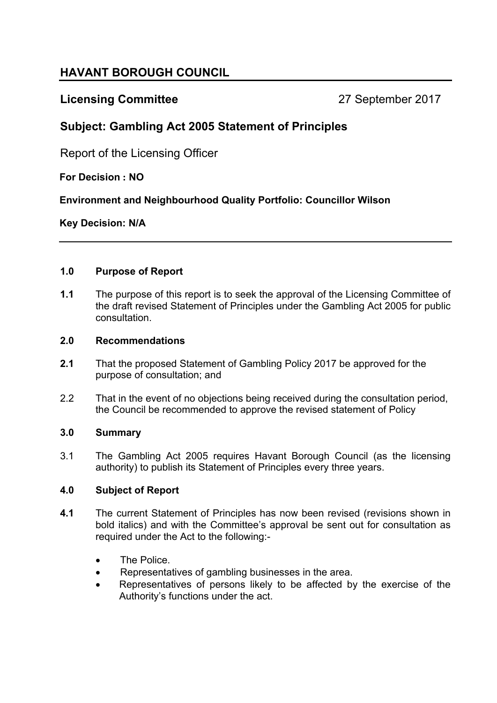# **HAVANT BOROUGH COUNCIL**

## **Licensing Committee** 27 September 2017

## **Subject: Gambling Act 2005 Statement of Principles**

Report of the Licensing Officer

## **For Decision : NO**

**Environment and Neighbourhood Quality Portfolio: Councillor Wilson**

## **Key Decision: N/A**

#### **1.0 Purpose of Report**

**1.1** The purpose of this report is to seek the approval of the Licensing Committee of the draft revised Statement of Principles under the Gambling Act 2005 for public consultation.

#### **2.0 Recommendations**

- **2.1** That the proposed Statement of Gambling Policy 2017 be approved for the purpose of consultation; and
- 2.2 That in the event of no objections being received during the consultation period, the Council be recommended to approve the revised statement of Policy

## **3.0 Summary**

3.1 The Gambling Act 2005 requires Havant Borough Council (as the licensing authority) to publish its Statement of Principles every three years.

## **4.0 Subject of Report**

- **4.1** The current Statement of Principles has now been revised (revisions shown in bold italics) and with the Committee's approval be sent out for consultation as required under the Act to the following:-
	- The Police.
	- Representatives of gambling businesses in the area.
	- Representatives of persons likely to be affected by the exercise of the Authority's functions under the act.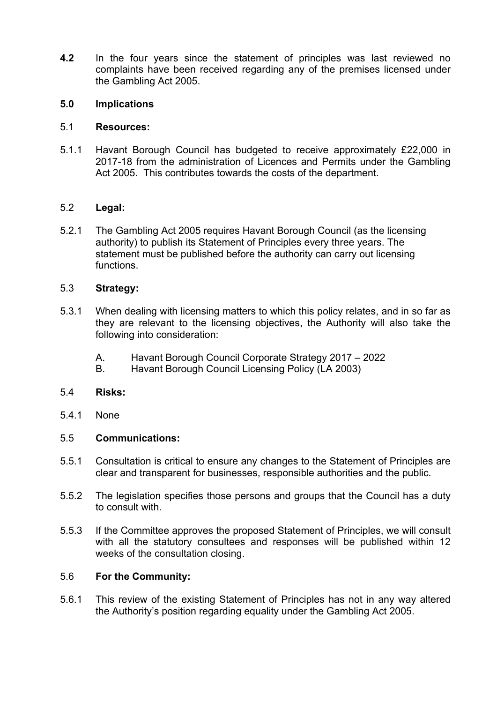**4.2** In the four years since the statement of principles was last reviewed no complaints have been received regarding any of the premises licensed under the Gambling Act 2005.

#### **5.0 Implications**

#### 5.1 **Resources:**

5.1.1 Havant Borough Council has budgeted to receive approximately £22,000 in 2017-18 from the administration of Licences and Permits under the Gambling Act 2005. This contributes towards the costs of the department.

#### 5.2 **Legal:**

5.2.1 The Gambling Act 2005 requires Havant Borough Council (as the licensing authority) to publish its Statement of Principles every three years. The statement must be published before the authority can carry out licensing functions.

#### 5.3 **Strategy:**

- 5.3.1 When dealing with licensing matters to which this policy relates, and in so far as they are relevant to the licensing objectives, the Authority will also take the following into consideration:
	- A. Havant Borough Council Corporate Strategy 2017 2022
	- B. Havant Borough Council Licensing Policy (LA 2003)

#### 5.4 **Risks:**

5.4.1 None

#### 5.5 **Communications:**

- 5.5.1 Consultation is critical to ensure any changes to the Statement of Principles are clear and transparent for businesses, responsible authorities and the public.
- 5.5.2 The legislation specifies those persons and groups that the Council has a duty to consult with.
- 5.5.3 If the Committee approves the proposed Statement of Principles, we will consult with all the statutory consultees and responses will be published within 12 weeks of the consultation closing.

#### 5.6 **For the Community:**

5.6.1 This review of the existing Statement of Principles has not in any way altered the Authority's position regarding equality under the Gambling Act 2005.